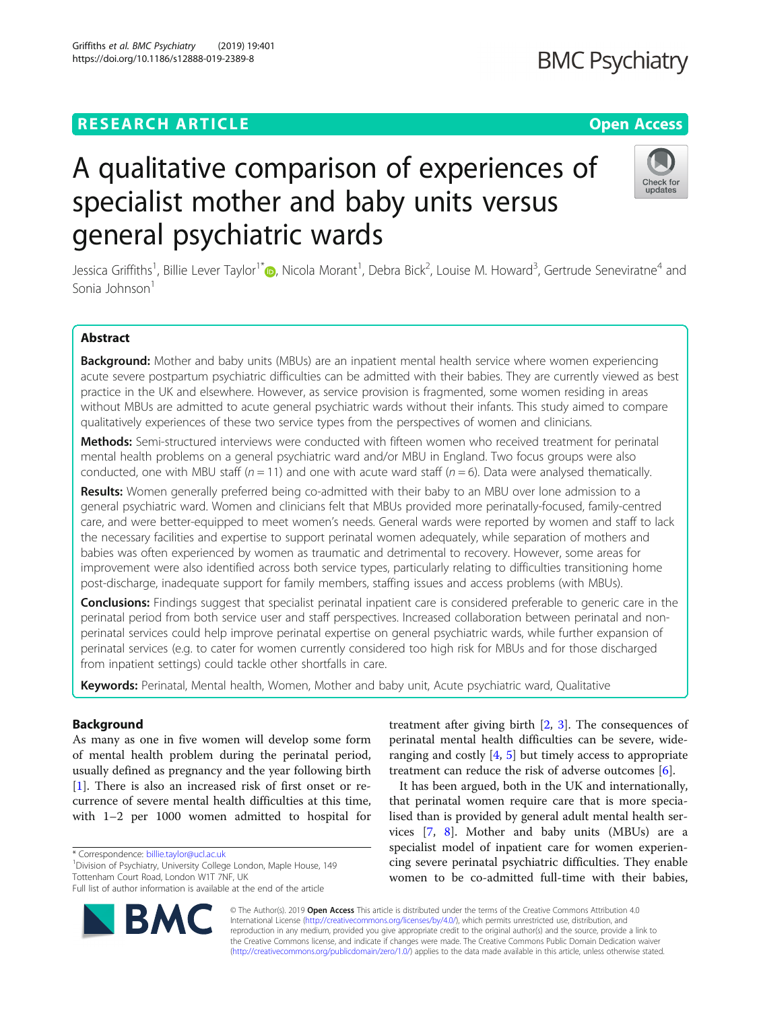## **RESEARCH ARTICLE Example 2014 12:30 The Contract of Contract ACCESS**

Griffiths et al. BMC Psychiatry (2019) 19:401 https://doi.org/10.1186/s12888-019-2389-8

# A qualitative comparison of experiences of specialist mother and baby units versus general psychiatric wards

Jessica Griffiths<sup>1</sup>[,](http://orcid.org/0000-0002-6865-3425) Billie Lever Taylor<sup>1\*</sup>®, Nicola Morant<sup>1</sup>, Debra Bick<sup>2</sup>, Louise M. Howard<sup>3</sup>, Gertrude Seneviratne<sup>4</sup> and Sonia Johnson<sup>1</sup>

### Abstract

Background: Mother and baby units (MBUs) are an inpatient mental health service where women experiencing acute severe postpartum psychiatric difficulties can be admitted with their babies. They are currently viewed as best practice in the UK and elsewhere. However, as service provision is fragmented, some women residing in areas without MBUs are admitted to acute general psychiatric wards without their infants. This study aimed to compare qualitatively experiences of these two service types from the perspectives of women and clinicians.

Methods: Semi-structured interviews were conducted with fifteen women who received treatment for perinatal mental health problems on a general psychiatric ward and/or MBU in England. Two focus groups were also conducted, one with MBU staff ( $n = 11$ ) and one with acute ward staff ( $n = 6$ ). Data were analysed thematically.

Results: Women generally preferred being co-admitted with their baby to an MBU over lone admission to a general psychiatric ward. Women and clinicians felt that MBUs provided more perinatally-focused, family-centred care, and were better-equipped to meet women's needs. General wards were reported by women and staff to lack the necessary facilities and expertise to support perinatal women adequately, while separation of mothers and babies was often experienced by women as traumatic and detrimental to recovery. However, some areas for improvement were also identified across both service types, particularly relating to difficulties transitioning home post-discharge, inadequate support for family members, staffing issues and access problems (with MBUs).

Conclusions: Findings suggest that specialist perinatal inpatient care is considered preferable to generic care in the perinatal period from both service user and staff perspectives. Increased collaboration between perinatal and nonperinatal services could help improve perinatal expertise on general psychiatric wards, while further expansion of perinatal services (e.g. to cater for women currently considered too high risk for MBUs and for those discharged from inpatient settings) could tackle other shortfalls in care.

Keywords: Perinatal, Mental health, Women, Mother and baby unit, Acute psychiatric ward, Qualitative

#### Background

As many as one in five women will develop some form of mental health problem during the perinatal period, usually defined as pregnancy and the year following birth [[1\]](#page-13-0). There is also an increased risk of first onset or recurrence of severe mental health difficulties at this time, with 1–2 per 1000 women admitted to hospital for

\* Correspondence: [billie.taylor@ucl.ac.uk](mailto:billie.taylor@ucl.ac.uk) <sup>1</sup>

<sup>1</sup> Division of Psychiatry, University College London, Maple House, 149 Tottenham Court Road, London W1T 7NF, UK

perinatal mental health difficulties can be severe, wideranging and costly  $[4, 5]$  $[4, 5]$  $[4, 5]$  $[4, 5]$  but timely access to appropriate treatment can reduce the risk of adverse outcomes [[6\]](#page-13-0). It has been argued, both in the UK and internationally,

treatment after giving birth  $[2, 3]$  $[2, 3]$  $[2, 3]$  $[2, 3]$ . The consequences of

that perinatal women require care that is more specialised than is provided by general adult mental health services [\[7](#page-13-0), [8\]](#page-13-0). Mother and baby units (MBUs) are a specialist model of inpatient care for women experiencing severe perinatal psychiatric difficulties. They enable women to be co-admitted full-time with their babies,

© The Author(s). 2019 **Open Access** This article is distributed under the terms of the Creative Commons Attribution 4.0 International License [\(http://creativecommons.org/licenses/by/4.0/](http://creativecommons.org/licenses/by/4.0/)), which permits unrestricted use, distribution, and reproduction in any medium, provided you give appropriate credit to the original author(s) and the source, provide a link to the Creative Commons license, and indicate if changes were made. The Creative Commons Public Domain Dedication waiver [\(http://creativecommons.org/publicdomain/zero/1.0/](http://creativecommons.org/publicdomain/zero/1.0/)) applies to the data made available in this article, unless otherwise stated.





Full list of author information is available at the end of the article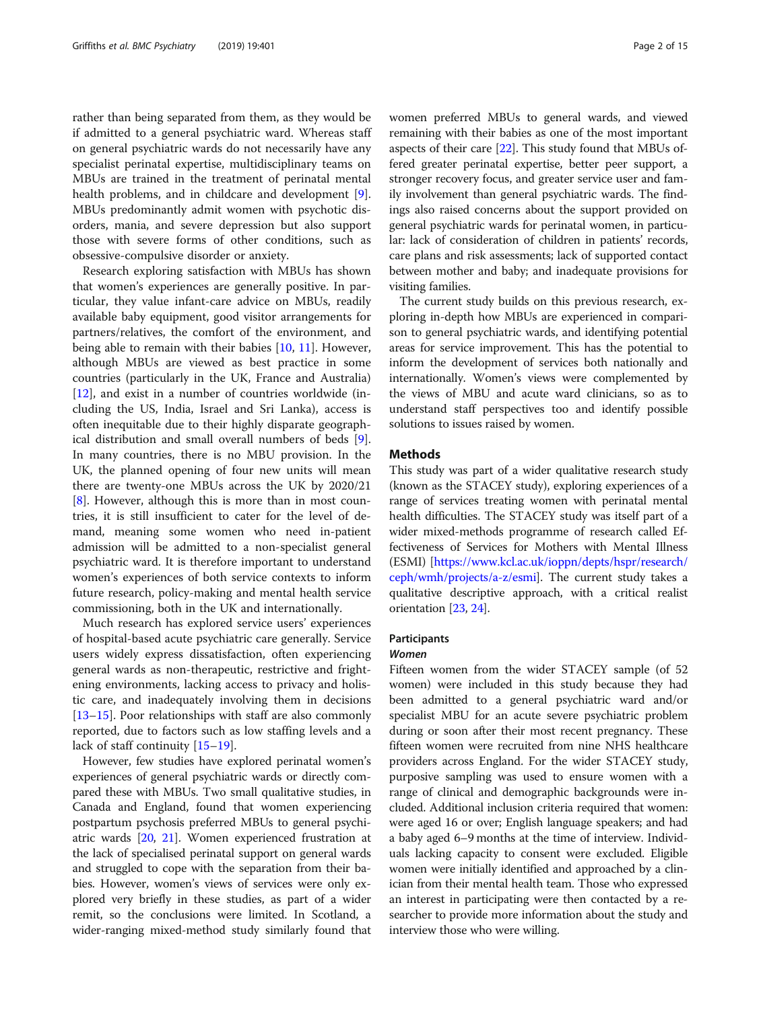rather than being separated from them, as they would be if admitted to a general psychiatric ward. Whereas staff on general psychiatric wards do not necessarily have any specialist perinatal expertise, multidisciplinary teams on MBUs are trained in the treatment of perinatal mental health problems, and in childcare and development [\[9](#page-13-0)]. MBUs predominantly admit women with psychotic disorders, mania, and severe depression but also support those with severe forms of other conditions, such as obsessive-compulsive disorder or anxiety.

Research exploring satisfaction with MBUs has shown that women's experiences are generally positive. In particular, they value infant-care advice on MBUs, readily available baby equipment, good visitor arrangements for partners/relatives, the comfort of the environment, and being able to remain with their babies [[10,](#page-13-0) [11\]](#page-13-0). However, although MBUs are viewed as best practice in some countries (particularly in the UK, France and Australia) [[12\]](#page-13-0), and exist in a number of countries worldwide (including the US, India, Israel and Sri Lanka), access is often inequitable due to their highly disparate geographical distribution and small overall numbers of beds [\[9](#page-13-0)]. In many countries, there is no MBU provision. In the UK, the planned opening of four new units will mean there are twenty-one MBUs across the UK by 2020/21 [[8\]](#page-13-0). However, although this is more than in most countries, it is still insufficient to cater for the level of demand, meaning some women who need in-patient admission will be admitted to a non-specialist general psychiatric ward. It is therefore important to understand women's experiences of both service contexts to inform future research, policy-making and mental health service commissioning, both in the UK and internationally.

Much research has explored service users' experiences of hospital-based acute psychiatric care generally. Service users widely express dissatisfaction, often experiencing general wards as non-therapeutic, restrictive and frightening environments, lacking access to privacy and holistic care, and inadequately involving them in decisions [[13](#page-13-0)–[15](#page-13-0)]. Poor relationships with staff are also commonly reported, due to factors such as low staffing levels and a lack of staff continuity [\[15](#page-13-0)–[19\]](#page-13-0).

However, few studies have explored perinatal women's experiences of general psychiatric wards or directly compared these with MBUs. Two small qualitative studies, in Canada and England, found that women experiencing postpartum psychosis preferred MBUs to general psychiatric wards [\[20](#page-13-0), [21](#page-13-0)]. Women experienced frustration at the lack of specialised perinatal support on general wards and struggled to cope with the separation from their babies. However, women's views of services were only explored very briefly in these studies, as part of a wider remit, so the conclusions were limited. In Scotland, a wider-ranging mixed-method study similarly found that women preferred MBUs to general wards, and viewed remaining with their babies as one of the most important aspects of their care [\[22\]](#page-13-0). This study found that MBUs offered greater perinatal expertise, better peer support, a stronger recovery focus, and greater service user and family involvement than general psychiatric wards. The findings also raised concerns about the support provided on general psychiatric wards for perinatal women, in particular: lack of consideration of children in patients' records, care plans and risk assessments; lack of supported contact between mother and baby; and inadequate provisions for visiting families.

The current study builds on this previous research, exploring in-depth how MBUs are experienced in comparison to general psychiatric wards, and identifying potential areas for service improvement. This has the potential to inform the development of services both nationally and internationally. Women's views were complemented by the views of MBU and acute ward clinicians, so as to understand staff perspectives too and identify possible solutions to issues raised by women.

#### Methods

This study was part of a wider qualitative research study (known as the STACEY study), exploring experiences of a range of services treating women with perinatal mental health difficulties. The STACEY study was itself part of a wider mixed-methods programme of research called Effectiveness of Services for Mothers with Mental Illness (ESMI) [[https://www.kcl.ac.uk/ioppn/depts/hspr/research/](https://www.kcl.ac.uk/ioppn/depts/hspr/research/ceph/wmh/projects/a-z/esmi) [ceph/wmh/projects/a-z/esmi\]](https://www.kcl.ac.uk/ioppn/depts/hspr/research/ceph/wmh/projects/a-z/esmi). The current study takes a qualitative descriptive approach, with a critical realist orientation [\[23](#page-14-0), [24](#page-14-0)].

#### **Participants**

#### Women

Fifteen women from the wider STACEY sample (of 52 women) were included in this study because they had been admitted to a general psychiatric ward and/or specialist MBU for an acute severe psychiatric problem during or soon after their most recent pregnancy. These fifteen women were recruited from nine NHS healthcare providers across England. For the wider STACEY study, purposive sampling was used to ensure women with a range of clinical and demographic backgrounds were included. Additional inclusion criteria required that women: were aged 16 or over; English language speakers; and had a baby aged 6–9 months at the time of interview. Individuals lacking capacity to consent were excluded. Eligible women were initially identified and approached by a clinician from their mental health team. Those who expressed an interest in participating were then contacted by a researcher to provide more information about the study and interview those who were willing.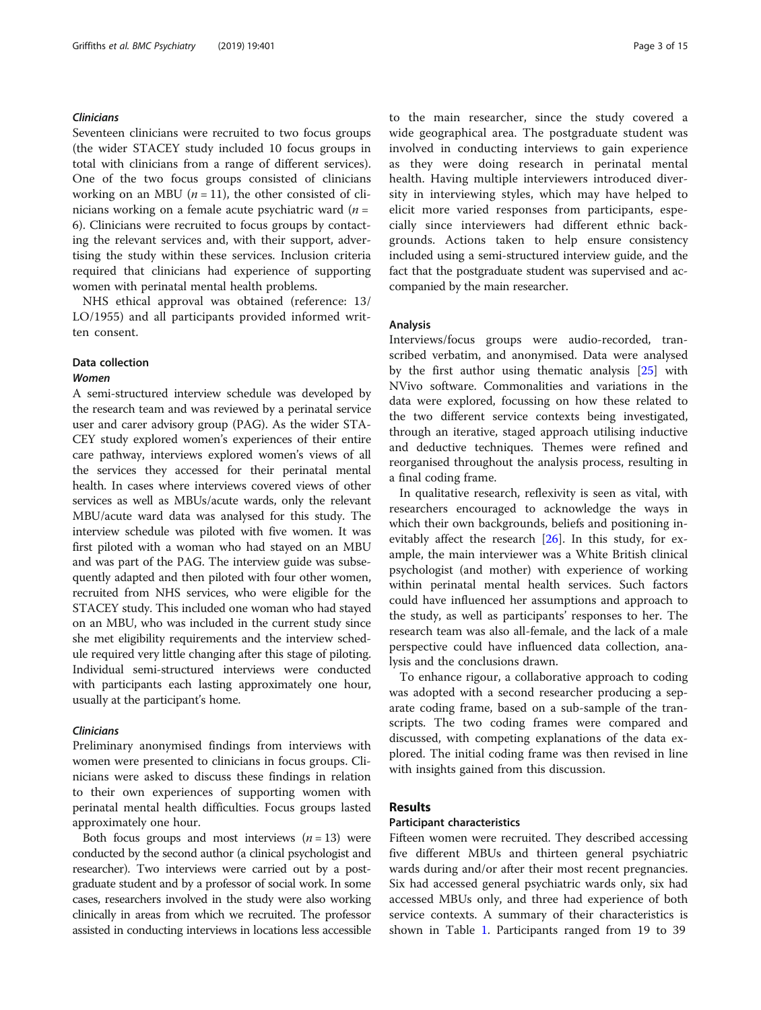#### Clinicians

Seventeen clinicians were recruited to two focus groups (the wider STACEY study included 10 focus groups in total with clinicians from a range of different services). One of the two focus groups consisted of clinicians working on an MBU ( $n = 11$ ), the other consisted of clinicians working on a female acute psychiatric ward  $(n =$ 6). Clinicians were recruited to focus groups by contacting the relevant services and, with their support, advertising the study within these services. Inclusion criteria required that clinicians had experience of supporting women with perinatal mental health problems.

NHS ethical approval was obtained (reference: 13/ LO/1955) and all participants provided informed written consent.

#### Data collection

#### Women

A semi-structured interview schedule was developed by the research team and was reviewed by a perinatal service user and carer advisory group (PAG). As the wider STA-CEY study explored women's experiences of their entire care pathway, interviews explored women's views of all the services they accessed for their perinatal mental health. In cases where interviews covered views of other services as well as MBUs/acute wards, only the relevant MBU/acute ward data was analysed for this study. The interview schedule was piloted with five women. It was first piloted with a woman who had stayed on an MBU and was part of the PAG. The interview guide was subsequently adapted and then piloted with four other women, recruited from NHS services, who were eligible for the STACEY study. This included one woman who had stayed on an MBU, who was included in the current study since she met eligibility requirements and the interview schedule required very little changing after this stage of piloting. Individual semi-structured interviews were conducted with participants each lasting approximately one hour, usually at the participant's home.

#### Clinicians

Preliminary anonymised findings from interviews with women were presented to clinicians in focus groups. Clinicians were asked to discuss these findings in relation to their own experiences of supporting women with perinatal mental health difficulties. Focus groups lasted approximately one hour.

Both focus groups and most interviews  $(n = 13)$  were conducted by the second author (a clinical psychologist and researcher). Two interviews were carried out by a postgraduate student and by a professor of social work. In some cases, researchers involved in the study were also working clinically in areas from which we recruited. The professor assisted in conducting interviews in locations less accessible to the main researcher, since the study covered a wide geographical area. The postgraduate student was involved in conducting interviews to gain experience as they were doing research in perinatal mental health. Having multiple interviewers introduced diversity in interviewing styles, which may have helped to elicit more varied responses from participants, especially since interviewers had different ethnic backgrounds. Actions taken to help ensure consistency included using a semi-structured interview guide, and the fact that the postgraduate student was supervised and accompanied by the main researcher.

#### Analysis

Interviews/focus groups were audio-recorded, transcribed verbatim, and anonymised. Data were analysed by the first author using thematic analysis [[25\]](#page-14-0) with NVivo software. Commonalities and variations in the data were explored, focussing on how these related to the two different service contexts being investigated, through an iterative, staged approach utilising inductive and deductive techniques. Themes were refined and reorganised throughout the analysis process, resulting in a final coding frame.

In qualitative research, reflexivity is seen as vital, with researchers encouraged to acknowledge the ways in which their own backgrounds, beliefs and positioning inevitably affect the research [\[26](#page-14-0)]. In this study, for example, the main interviewer was a White British clinical psychologist (and mother) with experience of working within perinatal mental health services. Such factors could have influenced her assumptions and approach to the study, as well as participants' responses to her. The research team was also all-female, and the lack of a male perspective could have influenced data collection, analysis and the conclusions drawn.

To enhance rigour, a collaborative approach to coding was adopted with a second researcher producing a separate coding frame, based on a sub-sample of the transcripts. The two coding frames were compared and discussed, with competing explanations of the data explored. The initial coding frame was then revised in line with insights gained from this discussion.

#### Results

#### Participant characteristics

Fifteen women were recruited. They described accessing five different MBUs and thirteen general psychiatric wards during and/or after their most recent pregnancies. Six had accessed general psychiatric wards only, six had accessed MBUs only, and three had experience of both service contexts. A summary of their characteristics is shown in Table [1.](#page-3-0) Participants ranged from 19 to 39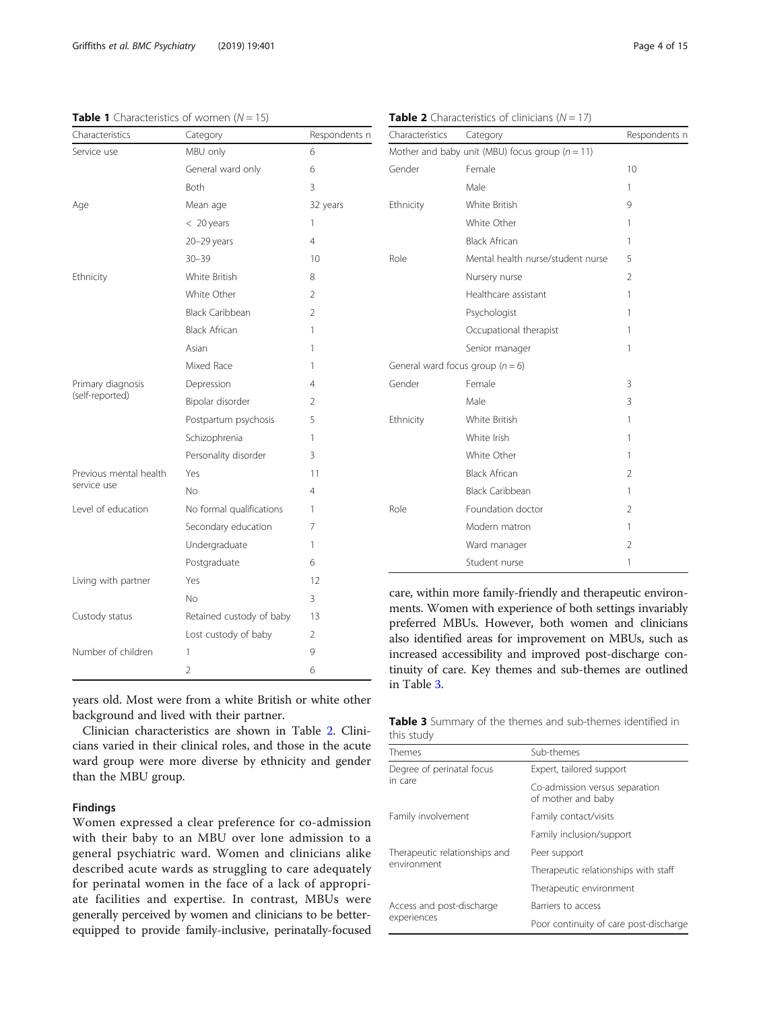<span id="page-3-0"></span>

| Characteristics        | Category                 | Respondents n  |  |
|------------------------|--------------------------|----------------|--|
| Service use            | MBU only                 | 6              |  |
|                        | General ward only        | 6              |  |
|                        | Both                     | 3              |  |
| Age                    | Mean age                 | 32 years       |  |
|                        | $<$ 20 years             | 1              |  |
|                        | $20 - 29$ years          | 4              |  |
|                        | $30 - 39$                | 10             |  |
| Ethnicity              | White British            | 8              |  |
|                        | White Other              | 2              |  |
|                        | <b>Black Caribbean</b>   | $\overline{2}$ |  |
|                        | <b>Black African</b>     | 1              |  |
|                        | Asian                    | 1              |  |
|                        | Mixed Race               | 1              |  |
| Primary diagnosis      | Depression               | 4              |  |
| (self-reported)        | Bipolar disorder         | 2              |  |
|                        | Postpartum psychosis     | 5              |  |
|                        | Schizophrenia            | 1              |  |
|                        | Personality disorder     | 3              |  |
| Previous mental health | Yes                      | 11             |  |
| service use            | No                       | 4              |  |
| Level of education     | No formal qualifications | 1              |  |
|                        | Secondary education      | 7              |  |
|                        | Undergraduate            | 1              |  |
|                        | Postgraduate             | 6              |  |
| Living with partner    | Yes                      | 12             |  |
|                        | No                       | 3              |  |
| Custody status         | Retained custody of baby | 13             |  |
|                        | Lost custody of baby     | 2              |  |
| Number of children     | 1                        | 9              |  |
|                        | 2                        | 6              |  |

| Gender    | Female                               | 10             |
|-----------|--------------------------------------|----------------|
|           | Male                                 | 1              |
| Ethnicity | White British                        | 9              |
|           | White Other                          | 1              |
|           | <b>Black African</b>                 | 1              |
| Role      | Mental health nurse/student nurse    | 5              |
|           | Nursery nurse                        | $\mathfrak{D}$ |
|           | Healthcare assistant                 | 1              |
|           | Psychologist                         | 1              |
|           | Occupational therapist               | 1              |
|           | Senior manager                       | 1              |
|           | General ward focus group ( $n = 6$ ) |                |
| Gender    | Female                               | 3              |
|           | Male                                 | 3              |
| Ethnicity | White British                        | 1              |
|           | White Irish                          | 1              |
|           | White Other                          | 1              |
|           | <b>Black African</b>                 | $\overline{2}$ |
|           | <b>Black Caribbean</b>               | 1              |
| Role      | Foundation doctor                    | $\overline{2}$ |
|           | Modern matron                        | 1              |
|           | Ward manager                         | 2              |
|           | Student nurse                        | 1              |

care, within more family-friendly and therapeutic environments. Women with experience of both settings invariably preferred MBUs. However, both women and clinicians also identified areas for improvement on MBUs, such as increased accessibility and improved post-discharge continuity of care. Key themes and sub-themes are outlined in Table 3.

years old. Most were from a white British or white other background and lived with their partner.

Clinician characteristics are shown in Table 2. Clinicians varied in their clinical roles, and those in the acute ward group were more diverse by ethnicity and gender than the MBU group.

#### Findings

Women expressed a clear preference for co-admission with their baby to an MBU over lone admission to a general psychiatric ward. Women and clinicians alike described acute wards as struggling to care adequately for perinatal women in the face of a lack of appropriate facilities and expertise. In contrast, MBUs were generally perceived by women and clinicians to be betterequipped to provide family-inclusive, perinatally-focused

Table 3 Summary of the themes and sub-themes identified in this study

| Themes                                       | Sub-themes                                           |  |  |
|----------------------------------------------|------------------------------------------------------|--|--|
| Degree of perinatal focus<br>in care         | Expert, tailored support                             |  |  |
|                                              | Co-admission versus separation<br>of mother and baby |  |  |
| Family involvement                           | Family contact/visits                                |  |  |
|                                              | Family inclusion/support                             |  |  |
| Therapeutic relationships and<br>environment | Peer support                                         |  |  |
|                                              | Therapeutic relationships with staff                 |  |  |
|                                              | Therapeutic environment                              |  |  |
| Access and post-discharge<br>experiences     | Barriers to access                                   |  |  |
|                                              | Poor continuity of care post-discharge               |  |  |

|  | <b>Table 2</b> Characteristics of clinicians ( $N = 17$ ) |  |  |
|--|-----------------------------------------------------------|--|--|
|  |                                                           |  |  |

Mother and baby unit (MBU) focus group ( $n = 11$ )

Characteristics Category Characteristics Category Characteristics Category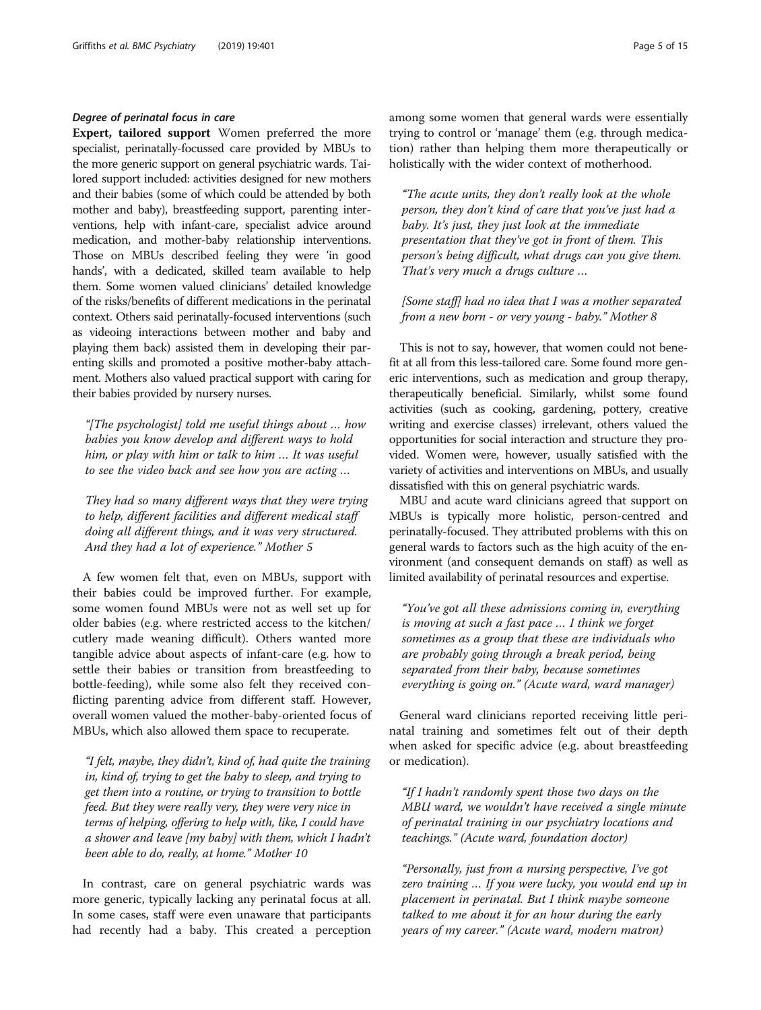#### Degree of perinatal focus in care

Expert, tailored support Women preferred the more specialist, perinatally-focussed care provided by MBUs to the more generic support on general psychiatric wards. Tailored support included: activities designed for new mothers and their babies (some of which could be attended by both mother and baby), breastfeeding support, parenting interventions, help with infant-care, specialist advice around medication, and mother-baby relationship interventions. Those on MBUs described feeling they were 'in good hands', with a dedicated, skilled team available to help them. Some women valued clinicians' detailed knowledge of the risks/benefits of different medications in the perinatal context. Others said perinatally-focused interventions (such as videoing interactions between mother and baby and playing them back) assisted them in developing their parenting skills and promoted a positive mother-baby attachment. Mothers also valued practical support with caring for their babies provided by nursery nurses.

"[The psychologist] told me useful things about … how babies you know develop and different ways to hold him, or play with him or talk to him … It was useful to see the video back and see how you are acting …

They had so many different ways that they were trying to help, different facilities and different medical staff doing all different things, and it was very structured. And they had a lot of experience." Mother 5

A few women felt that, even on MBUs, support with their babies could be improved further. For example, some women found MBUs were not as well set up for older babies (e.g. where restricted access to the kitchen/ cutlery made weaning difficult). Others wanted more tangible advice about aspects of infant-care (e.g. how to settle their babies or transition from breastfeeding to bottle-feeding), while some also felt they received conflicting parenting advice from different staff. However, overall women valued the mother-baby-oriented focus of MBUs, which also allowed them space to recuperate.

"I felt, maybe, they didn't, kind of, had quite the training in, kind of, trying to get the baby to sleep, and trying to get them into a routine, or trying to transition to bottle feed. But they were really very, they were very nice in terms of helping, offering to help with, like, I could have a shower and leave [my baby] with them, which I hadn't been able to do, really, at home." Mother 10

In contrast, care on general psychiatric wards was more generic, typically lacking any perinatal focus at all. In some cases, staff were even unaware that participants had recently had a baby. This created a perception among some women that general wards were essentially trying to control or 'manage' them (e.g. through medication) rather than helping them more therapeutically or holistically with the wider context of motherhood.

"The acute units, they don't really look at the whole person, they don't kind of care that you've just had a baby. It's just, they just look at the immediate presentation that they've got in front of them. This person's being difficult, what drugs can you give them. That's very much a drugs culture …

[Some staff] had no idea that I was a mother separated from a new born - or very young - baby." Mother 8

This is not to say, however, that women could not benefit at all from this less-tailored care. Some found more generic interventions, such as medication and group therapy, therapeutically beneficial. Similarly, whilst some found activities (such as cooking, gardening, pottery, creative writing and exercise classes) irrelevant, others valued the opportunities for social interaction and structure they provided. Women were, however, usually satisfied with the variety of activities and interventions on MBUs, and usually dissatisfied with this on general psychiatric wards.

MBU and acute ward clinicians agreed that support on MBUs is typically more holistic, person-centred and perinatally-focused. They attributed problems with this on general wards to factors such as the high acuity of the environment (and consequent demands on staff) as well as limited availability of perinatal resources and expertise.

"You've got all these admissions coming in, everything is moving at such a fast pace … I think we forget sometimes as a group that these are individuals who are probably going through a break period, being separated from their baby, because sometimes everything is going on." (Acute ward, ward manager)

General ward clinicians reported receiving little perinatal training and sometimes felt out of their depth when asked for specific advice (e.g. about breastfeeding or medication).

"If I hadn't randomly spent those two days on the MBU ward, we wouldn't have received a single minute of perinatal training in our psychiatry locations and teachings." (Acute ward, foundation doctor)

"Personally, just from a nursing perspective, I've got zero training … If you were lucky, you would end up in placement in perinatal. But I think maybe someone talked to me about it for an hour during the early years of my career." (Acute ward, modern matron)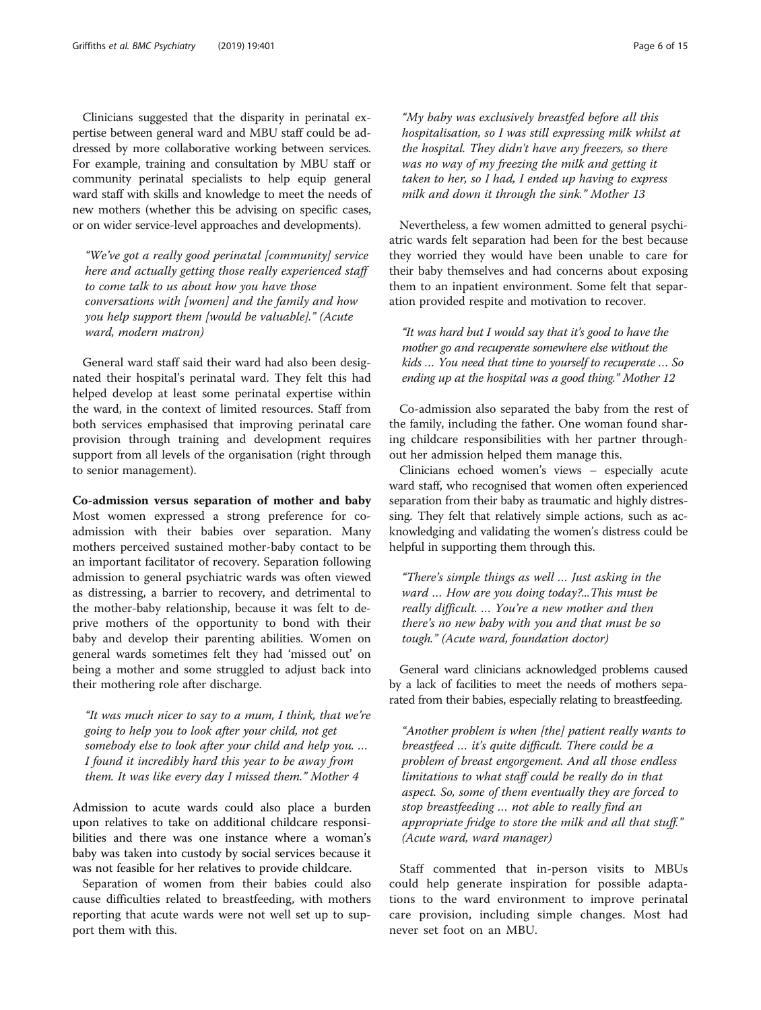Clinicians suggested that the disparity in perinatal expertise between general ward and MBU staff could be addressed by more collaborative working between services. For example, training and consultation by MBU staff or community perinatal specialists to help equip general ward staff with skills and knowledge to meet the needs of new mothers (whether this be advising on specific cases, or on wider service-level approaches and developments).

"We've got a really good perinatal [community] service here and actually getting those really experienced staff to come talk to us about how you have those conversations with [women] and the family and how you help support them [would be valuable]." (Acute ward, modern matron)

General ward staff said their ward had also been designated their hospital's perinatal ward. They felt this had helped develop at least some perinatal expertise within the ward, in the context of limited resources. Staff from both services emphasised that improving perinatal care provision through training and development requires support from all levels of the organisation (right through to senior management).

Co-admission versus separation of mother and baby Most women expressed a strong preference for coadmission with their babies over separation. Many mothers perceived sustained mother-baby contact to be an important facilitator of recovery. Separation following admission to general psychiatric wards was often viewed as distressing, a barrier to recovery, and detrimental to the mother-baby relationship, because it was felt to deprive mothers of the opportunity to bond with their baby and develop their parenting abilities. Women on general wards sometimes felt they had 'missed out' on being a mother and some struggled to adjust back into their mothering role after discharge.

"It was much nicer to say to a mum, I think, that we're going to help you to look after your child, not get somebody else to look after your child and help you. … I found it incredibly hard this year to be away from them. It was like every day I missed them." Mother 4

Admission to acute wards could also place a burden upon relatives to take on additional childcare responsibilities and there was one instance where a woman's baby was taken into custody by social services because it was not feasible for her relatives to provide childcare.

Separation of women from their babies could also cause difficulties related to breastfeeding, with mothers reporting that acute wards were not well set up to support them with this.

"My baby was exclusively breastfed before all this hospitalisation, so I was still expressing milk whilst at the hospital. They didn't have any freezers, so there was no way of my freezing the milk and getting it taken to her, so I had, I ended up having to express milk and down it through the sink." Mother 13

Nevertheless, a few women admitted to general psychiatric wards felt separation had been for the best because they worried they would have been unable to care for their baby themselves and had concerns about exposing them to an inpatient environment. Some felt that separation provided respite and motivation to recover.

"It was hard but I would say that it's good to have the mother go and recuperate somewhere else without the kids … You need that time to yourself to recuperate … So ending up at the hospital was a good thing." Mother 12

Co-admission also separated the baby from the rest of the family, including the father. One woman found sharing childcare responsibilities with her partner throughout her admission helped them manage this.

Clinicians echoed women's views – especially acute ward staff, who recognised that women often experienced separation from their baby as traumatic and highly distressing. They felt that relatively simple actions, such as acknowledging and validating the women's distress could be helpful in supporting them through this.

"There's simple things as well … Just asking in the ward … How are you doing today?...This must be really difficult. … You're a new mother and then there's no new baby with you and that must be so tough." (Acute ward, foundation doctor)

General ward clinicians acknowledged problems caused by a lack of facilities to meet the needs of mothers separated from their babies, especially relating to breastfeeding.

"Another problem is when [the] patient really wants to breastfeed … it's quite difficult. There could be a problem of breast engorgement. And all those endless limitations to what staff could be really do in that aspect. So, some of them eventually they are forced to stop breastfeeding … not able to really find an appropriate fridge to store the milk and all that stuff." (Acute ward, ward manager)

Staff commented that in-person visits to MBUs could help generate inspiration for possible adaptations to the ward environment to improve perinatal care provision, including simple changes. Most had never set foot on an MBU.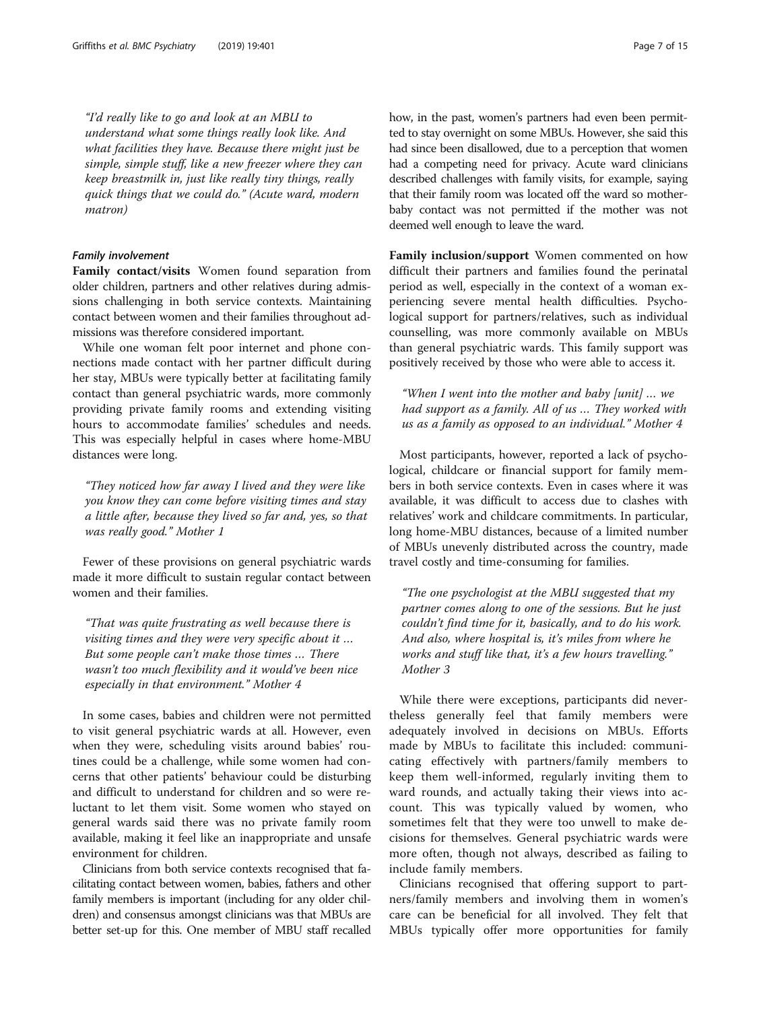"I'd really like to go and look at an MBU to understand what some things really look like. And what facilities they have. Because there might just be simple, simple stuff, like a new freezer where they can keep breastmilk in, just like really tiny things, really quick things that we could do." (Acute ward, modern matron)

#### Family involvement

Family contact/visits Women found separation from older children, partners and other relatives during admissions challenging in both service contexts. Maintaining contact between women and their families throughout admissions was therefore considered important.

While one woman felt poor internet and phone connections made contact with her partner difficult during her stay, MBUs were typically better at facilitating family contact than general psychiatric wards, more commonly providing private family rooms and extending visiting hours to accommodate families' schedules and needs. This was especially helpful in cases where home-MBU distances were long.

"They noticed how far away I lived and they were like you know they can come before visiting times and stay a little after, because they lived so far and, yes, so that was really good." Mother 1

Fewer of these provisions on general psychiatric wards made it more difficult to sustain regular contact between women and their families.

"That was quite frustrating as well because there is visiting times and they were very specific about it … But some people can't make those times … There wasn't too much flexibility and it would've been nice especially in that environment." Mother 4

In some cases, babies and children were not permitted to visit general psychiatric wards at all. However, even when they were, scheduling visits around babies' routines could be a challenge, while some women had concerns that other patients' behaviour could be disturbing and difficult to understand for children and so were reluctant to let them visit. Some women who stayed on general wards said there was no private family room available, making it feel like an inappropriate and unsafe environment for children.

Clinicians from both service contexts recognised that facilitating contact between women, babies, fathers and other family members is important (including for any older children) and consensus amongst clinicians was that MBUs are better set-up for this. One member of MBU staff recalled how, in the past, women's partners had even been permitted to stay overnight on some MBUs. However, she said this had since been disallowed, due to a perception that women had a competing need for privacy. Acute ward clinicians described challenges with family visits, for example, saying that their family room was located off the ward so motherbaby contact was not permitted if the mother was not deemed well enough to leave the ward.

Family inclusion/support Women commented on how difficult their partners and families found the perinatal period as well, especially in the context of a woman experiencing severe mental health difficulties. Psychological support for partners/relatives, such as individual counselling, was more commonly available on MBUs than general psychiatric wards. This family support was positively received by those who were able to access it.

"When I went into the mother and baby [unit] … we had support as a family. All of us … They worked with us as a family as opposed to an individual." Mother 4

Most participants, however, reported a lack of psychological, childcare or financial support for family members in both service contexts. Even in cases where it was available, it was difficult to access due to clashes with relatives' work and childcare commitments. In particular, long home-MBU distances, because of a limited number of MBUs unevenly distributed across the country, made travel costly and time-consuming for families.

"The one psychologist at the MBU suggested that my partner comes along to one of the sessions. But he just couldn't find time for it, basically, and to do his work. And also, where hospital is, it's miles from where he works and stuff like that, it's a few hours travelling." Mother 3

While there were exceptions, participants did nevertheless generally feel that family members were adequately involved in decisions on MBUs. Efforts made by MBUs to facilitate this included: communicating effectively with partners/family members to keep them well-informed, regularly inviting them to ward rounds, and actually taking their views into account. This was typically valued by women, who sometimes felt that they were too unwell to make decisions for themselves. General psychiatric wards were more often, though not always, described as failing to include family members.

Clinicians recognised that offering support to partners/family members and involving them in women's care can be beneficial for all involved. They felt that MBUs typically offer more opportunities for family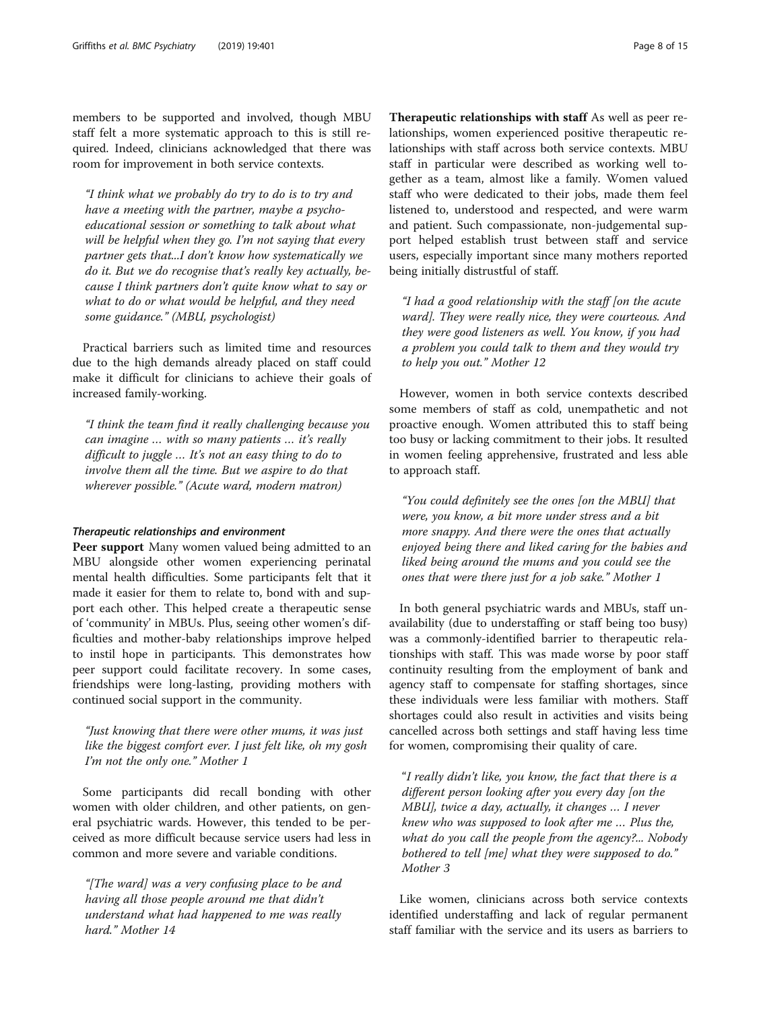members to be supported and involved, though MBU staff felt a more systematic approach to this is still required. Indeed, clinicians acknowledged that there was room for improvement in both service contexts.

"I think what we probably do try to do is to try and have a meeting with the partner, maybe a psychoeducational session or something to talk about what will be helpful when they go. I'm not saying that every partner gets that...I don't know how systematically we do it. But we do recognise that's really key actually, because I think partners don't quite know what to say or what to do or what would be helpful, and they need some guidance." (MBU, psychologist)

Practical barriers such as limited time and resources due to the high demands already placed on staff could make it difficult for clinicians to achieve their goals of increased family-working.

"I think the team find it really challenging because you can imagine … with so many patients … it's really difficult to juggle … It's not an easy thing to do to involve them all the time. But we aspire to do that wherever possible." (Acute ward, modern matron)

#### Therapeutic relationships and environment

Peer support Many women valued being admitted to an MBU alongside other women experiencing perinatal mental health difficulties. Some participants felt that it made it easier for them to relate to, bond with and support each other. This helped create a therapeutic sense of 'community' in MBUs. Plus, seeing other women's difficulties and mother-baby relationships improve helped to instil hope in participants. This demonstrates how peer support could facilitate recovery. In some cases, friendships were long-lasting, providing mothers with continued social support in the community.

"Just knowing that there were other mums, it was just like the biggest comfort ever. I just felt like, oh my gosh I'm not the only one." Mother 1

Some participants did recall bonding with other women with older children, and other patients, on general psychiatric wards. However, this tended to be perceived as more difficult because service users had less in common and more severe and variable conditions.

"[The ward] was a very confusing place to be and having all those people around me that didn't understand what had happened to me was really hard." Mother 14

Therapeutic relationships with staff As well as peer relationships, women experienced positive therapeutic relationships with staff across both service contexts. MBU staff in particular were described as working well together as a team, almost like a family. Women valued staff who were dedicated to their jobs, made them feel listened to, understood and respected, and were warm and patient. Such compassionate, non-judgemental support helped establish trust between staff and service users, especially important since many mothers reported being initially distrustful of staff.

"I had a good relationship with the staff [on the acute ward]. They were really nice, they were courteous. And they were good listeners as well. You know, if you had a problem you could talk to them and they would try to help you out." Mother 12

However, women in both service contexts described some members of staff as cold, unempathetic and not proactive enough. Women attributed this to staff being too busy or lacking commitment to their jobs. It resulted in women feeling apprehensive, frustrated and less able to approach staff.

"You could definitely see the ones [on the MBU] that were, you know, a bit more under stress and a bit more snappy. And there were the ones that actually enjoyed being there and liked caring for the babies and liked being around the mums and you could see the ones that were there just for a job sake." Mother 1

In both general psychiatric wards and MBUs, staff unavailability (due to understaffing or staff being too busy) was a commonly-identified barrier to therapeutic relationships with staff. This was made worse by poor staff continuity resulting from the employment of bank and agency staff to compensate for staffing shortages, since these individuals were less familiar with mothers. Staff shortages could also result in activities and visits being cancelled across both settings and staff having less time for women, compromising their quality of care.

"I really didn't like, you know, the fact that there is a different person looking after you every day [on the MBU], twice a day, actually, it changes … I never knew who was supposed to look after me … Plus the, what do you call the people from the agency?... Nobody bothered to tell [me] what they were supposed to do." Mother 3

Like women, clinicians across both service contexts identified understaffing and lack of regular permanent staff familiar with the service and its users as barriers to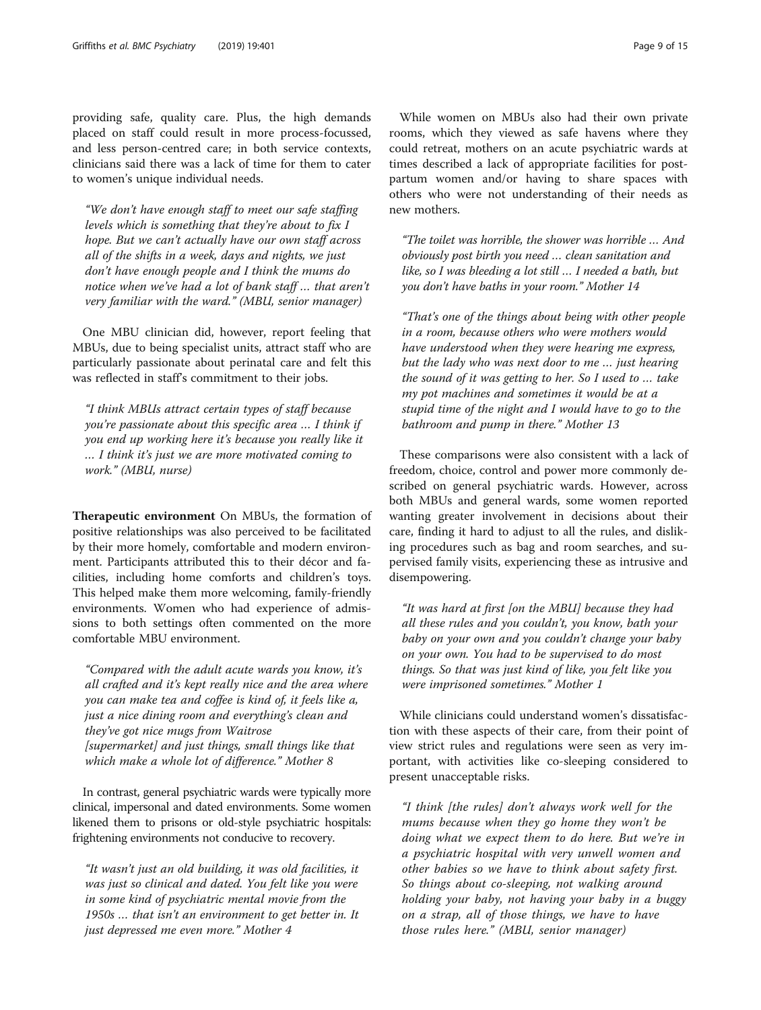providing safe, quality care. Plus, the high demands placed on staff could result in more process-focussed, and less person-centred care; in both service contexts, clinicians said there was a lack of time for them to cater to women's unique individual needs.

"We don't have enough staff to meet our safe staffing levels which is something that they're about to fix I hope. But we can't actually have our own staff across all of the shifts in a week, days and nights, we just don't have enough people and I think the mums do notice when we've had a lot of bank staff … that aren't very familiar with the ward." (MBU, senior manager)

One MBU clinician did, however, report feeling that MBUs, due to being specialist units, attract staff who are particularly passionate about perinatal care and felt this was reflected in staff's commitment to their jobs.

"I think MBUs attract certain types of staff because you're passionate about this specific area … I think if you end up working here it's because you really like it … I think it's just we are more motivated coming to work." (MBU, nurse)

Therapeutic environment On MBUs, the formation of positive relationships was also perceived to be facilitated by their more homely, comfortable and modern environment. Participants attributed this to their décor and facilities, including home comforts and children's toys. This helped make them more welcoming, family-friendly environments. Women who had experience of admissions to both settings often commented on the more comfortable MBU environment.

"Compared with the adult acute wards you know, it's all crafted and it's kept really nice and the area where you can make tea and coffee is kind of, it feels like a, just a nice dining room and everything's clean and they've got nice mugs from Waitrose [supermarket] and just things, small things like that which make a whole lot of difference." Mother 8

In contrast, general psychiatric wards were typically more clinical, impersonal and dated environments. Some women likened them to prisons or old-style psychiatric hospitals: frightening environments not conducive to recovery.

"It wasn't just an old building, it was old facilities, it was just so clinical and dated. You felt like you were in some kind of psychiatric mental movie from the 1950s … that isn't an environment to get better in. It just depressed me even more." Mother 4

While women on MBUs also had their own private rooms, which they viewed as safe havens where they could retreat, mothers on an acute psychiatric wards at times described a lack of appropriate facilities for postpartum women and/or having to share spaces with others who were not understanding of their needs as new mothers.

"The toilet was horrible, the shower was horrible … And obviously post birth you need … clean sanitation and like, so I was bleeding a lot still … I needed a bath, but you don't have baths in your room." Mother 14

"That's one of the things about being with other people in a room, because others who were mothers would have understood when they were hearing me express, but the lady who was next door to me … just hearing the sound of it was getting to her. So I used to … take my pot machines and sometimes it would be at a stupid time of the night and I would have to go to the bathroom and pump in there." Mother 13

These comparisons were also consistent with a lack of freedom, choice, control and power more commonly described on general psychiatric wards. However, across both MBUs and general wards, some women reported wanting greater involvement in decisions about their care, finding it hard to adjust to all the rules, and disliking procedures such as bag and room searches, and supervised family visits, experiencing these as intrusive and disempowering.

"It was hard at first [on the MBU] because they had all these rules and you couldn't, you know, bath your baby on your own and you couldn't change your baby on your own. You had to be supervised to do most things. So that was just kind of like, you felt like you were imprisoned sometimes." Mother 1

While clinicians could understand women's dissatisfaction with these aspects of their care, from their point of view strict rules and regulations were seen as very important, with activities like co-sleeping considered to present unacceptable risks.

"I think [the rules] don't always work well for the mums because when they go home they won't be doing what we expect them to do here. But we're in a psychiatric hospital with very unwell women and other babies so we have to think about safety first. So things about co-sleeping, not walking around holding your baby, not having your baby in a buggy on a strap, all of those things, we have to have those rules here." (MBU, senior manager)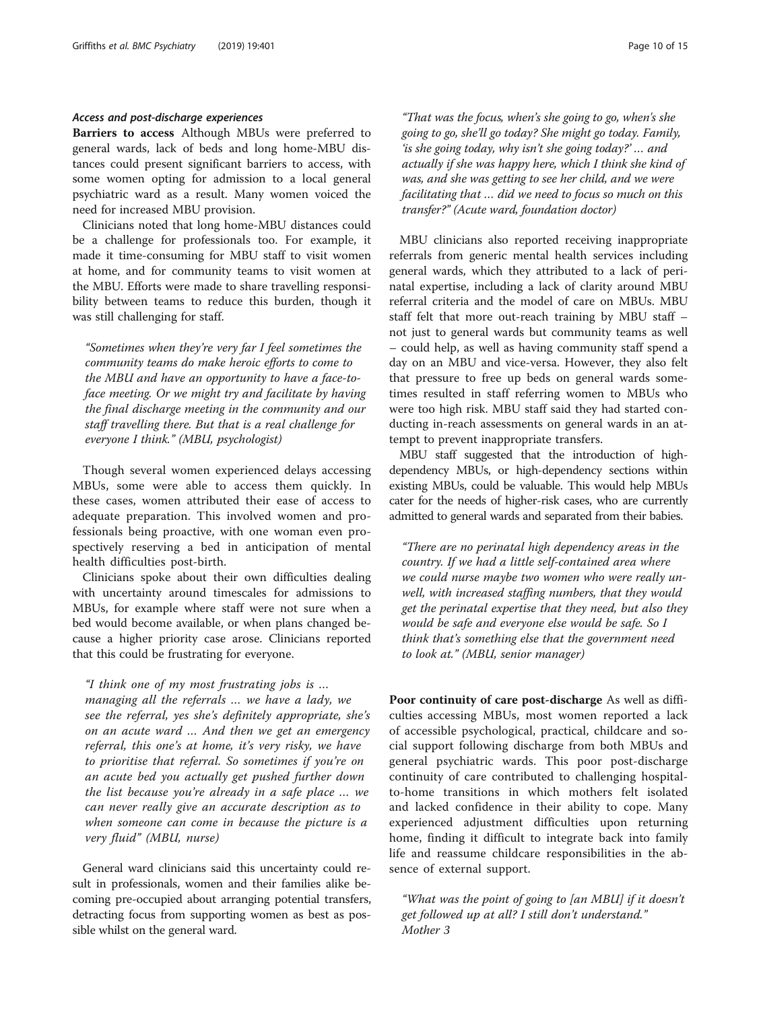#### Access and post-discharge experiences

Barriers to access Although MBUs were preferred to general wards, lack of beds and long home-MBU distances could present significant barriers to access, with some women opting for admission to a local general psychiatric ward as a result. Many women voiced the need for increased MBU provision.

Clinicians noted that long home-MBU distances could be a challenge for professionals too. For example, it made it time-consuming for MBU staff to visit women at home, and for community teams to visit women at the MBU. Efforts were made to share travelling responsibility between teams to reduce this burden, though it was still challenging for staff.

"Sometimes when they're very far I feel sometimes the community teams do make heroic efforts to come to the MBU and have an opportunity to have a face-toface meeting. Or we might try and facilitate by having the final discharge meeting in the community and our staff travelling there. But that is a real challenge for everyone I think." (MBU, psychologist)

Though several women experienced delays accessing MBUs, some were able to access them quickly. In these cases, women attributed their ease of access to adequate preparation. This involved women and professionals being proactive, with one woman even prospectively reserving a bed in anticipation of mental health difficulties post-birth.

Clinicians spoke about their own difficulties dealing with uncertainty around timescales for admissions to MBUs, for example where staff were not sure when a bed would become available, or when plans changed because a higher priority case arose. Clinicians reported that this could be frustrating for everyone.

"I think one of my most frustrating jobs is … managing all the referrals … we have a lady, we see the referral, yes she's definitely appropriate, she's on an acute ward … And then we get an emergency referral, this one's at home, it's very risky, we have to prioritise that referral. So sometimes if you're on an acute bed you actually get pushed further down the list because you're already in a safe place … we can never really give an accurate description as to when someone can come in because the picture is a very fluid" (MBU, nurse)

General ward clinicians said this uncertainty could result in professionals, women and their families alike becoming pre-occupied about arranging potential transfers, detracting focus from supporting women as best as possible whilst on the general ward.

"That was the focus, when's she going to go, when's she going to go, she'll go today? She might go today. Family, 'is she going today, why isn't she going today?' … and actually if she was happy here, which I think she kind of was, and she was getting to see her child, and we were facilitating that … did we need to focus so much on this transfer?" (Acute ward, foundation doctor)

MBU clinicians also reported receiving inappropriate referrals from generic mental health services including general wards, which they attributed to a lack of perinatal expertise, including a lack of clarity around MBU referral criteria and the model of care on MBUs. MBU staff felt that more out-reach training by MBU staff – not just to general wards but community teams as well – could help, as well as having community staff spend a day on an MBU and vice-versa. However, they also felt that pressure to free up beds on general wards sometimes resulted in staff referring women to MBUs who were too high risk. MBU staff said they had started conducting in-reach assessments on general wards in an attempt to prevent inappropriate transfers.

MBU staff suggested that the introduction of highdependency MBUs, or high-dependency sections within existing MBUs, could be valuable. This would help MBUs cater for the needs of higher-risk cases, who are currently admitted to general wards and separated from their babies.

"There are no perinatal high dependency areas in the country. If we had a little self-contained area where we could nurse maybe two women who were really unwell, with increased staffing numbers, that they would get the perinatal expertise that they need, but also they would be safe and everyone else would be safe. So I think that's something else that the government need to look at." (MBU, senior manager)

Poor continuity of care post-discharge As well as difficulties accessing MBUs, most women reported a lack of accessible psychological, practical, childcare and social support following discharge from both MBUs and general psychiatric wards. This poor post-discharge continuity of care contributed to challenging hospitalto-home transitions in which mothers felt isolated and lacked confidence in their ability to cope. Many experienced adjustment difficulties upon returning home, finding it difficult to integrate back into family life and reassume childcare responsibilities in the absence of external support.

"What was the point of going to [an MBU] if it doesn't get followed up at all? I still don't understand." Mother 3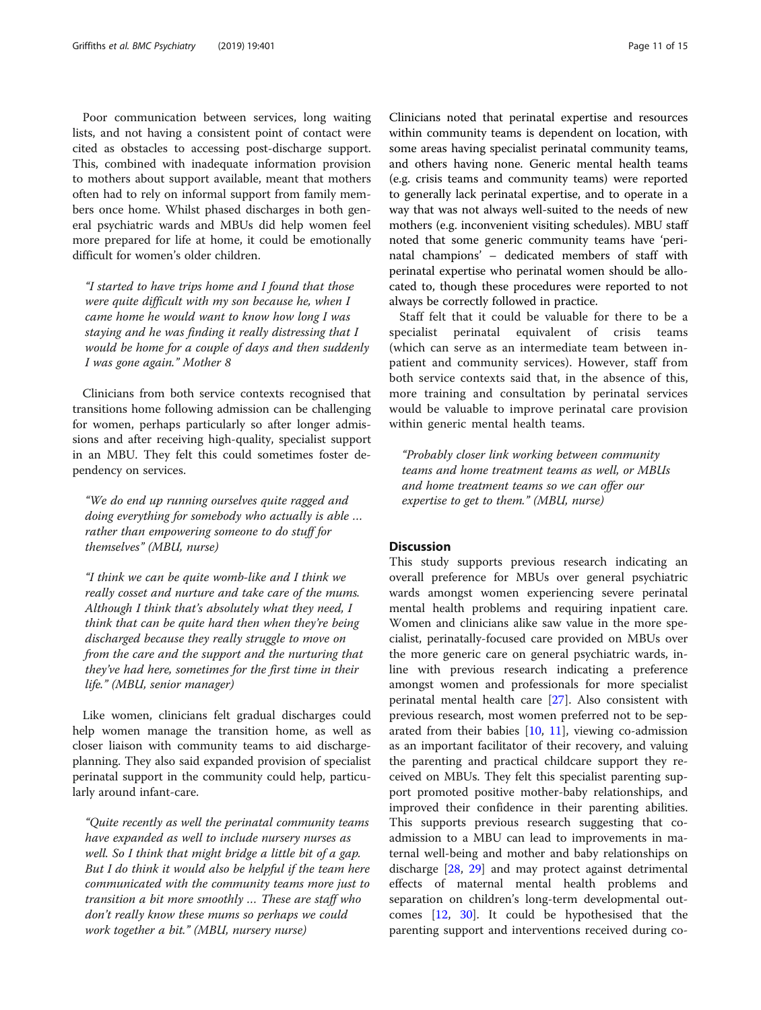Poor communication between services, long waiting lists, and not having a consistent point of contact were cited as obstacles to accessing post-discharge support. This, combined with inadequate information provision to mothers about support available, meant that mothers often had to rely on informal support from family members once home. Whilst phased discharges in both general psychiatric wards and MBUs did help women feel more prepared for life at home, it could be emotionally difficult for women's older children.

"I started to have trips home and I found that those were quite difficult with my son because he, when I came home he would want to know how long I was staying and he was finding it really distressing that I would be home for a couple of days and then suddenly I was gone again." Mother 8

Clinicians from both service contexts recognised that transitions home following admission can be challenging for women, perhaps particularly so after longer admissions and after receiving high-quality, specialist support in an MBU. They felt this could sometimes foster dependency on services.

"We do end up running ourselves quite ragged and doing everything for somebody who actually is able … rather than empowering someone to do stuff for themselves" (MBU, nurse)

"I think we can be quite womb-like and I think we really cosset and nurture and take care of the mums. Although I think that's absolutely what they need, I think that can be quite hard then when they're being discharged because they really struggle to move on from the care and the support and the nurturing that they've had here, sometimes for the first time in their life." (MBU, senior manager)

Like women, clinicians felt gradual discharges could help women manage the transition home, as well as closer liaison with community teams to aid dischargeplanning. They also said expanded provision of specialist perinatal support in the community could help, particularly around infant-care.

"Quite recently as well the perinatal community teams have expanded as well to include nursery nurses as well. So I think that might bridge a little bit of a gap. But I do think it would also be helpful if the team here communicated with the community teams more just to transition a bit more smoothly … These are staff who don't really know these mums so perhaps we could work together a bit." (MBU, nursery nurse)

Clinicians noted that perinatal expertise and resources within community teams is dependent on location, with some areas having specialist perinatal community teams, and others having none. Generic mental health teams (e.g. crisis teams and community teams) were reported to generally lack perinatal expertise, and to operate in a way that was not always well-suited to the needs of new mothers (e.g. inconvenient visiting schedules). MBU staff noted that some generic community teams have 'perinatal champions' – dedicated members of staff with perinatal expertise who perinatal women should be allocated to, though these procedures were reported to not always be correctly followed in practice.

Staff felt that it could be valuable for there to be a specialist perinatal equivalent of crisis teams (which can serve as an intermediate team between inpatient and community services). However, staff from both service contexts said that, in the absence of this, more training and consultation by perinatal services would be valuable to improve perinatal care provision within generic mental health teams.

"Probably closer link working between community teams and home treatment teams as well, or MBUs and home treatment teams so we can offer our expertise to get to them." (MBU, nurse)

#### **Discussion**

This study supports previous research indicating an overall preference for MBUs over general psychiatric wards amongst women experiencing severe perinatal mental health problems and requiring inpatient care. Women and clinicians alike saw value in the more specialist, perinatally-focused care provided on MBUs over the more generic care on general psychiatric wards, inline with previous research indicating a preference amongst women and professionals for more specialist perinatal mental health care [\[27\]](#page-14-0). Also consistent with previous research, most women preferred not to be separated from their babies [\[10,](#page-13-0) [11\]](#page-13-0), viewing co-admission as an important facilitator of their recovery, and valuing the parenting and practical childcare support they received on MBUs. They felt this specialist parenting support promoted positive mother-baby relationships, and improved their confidence in their parenting abilities. This supports previous research suggesting that coadmission to a MBU can lead to improvements in maternal well-being and mother and baby relationships on discharge [[28,](#page-14-0) [29\]](#page-14-0) and may protect against detrimental effects of maternal mental health problems and separation on children's long-term developmental outcomes [[12,](#page-13-0) [30\]](#page-14-0). It could be hypothesised that the parenting support and interventions received during co-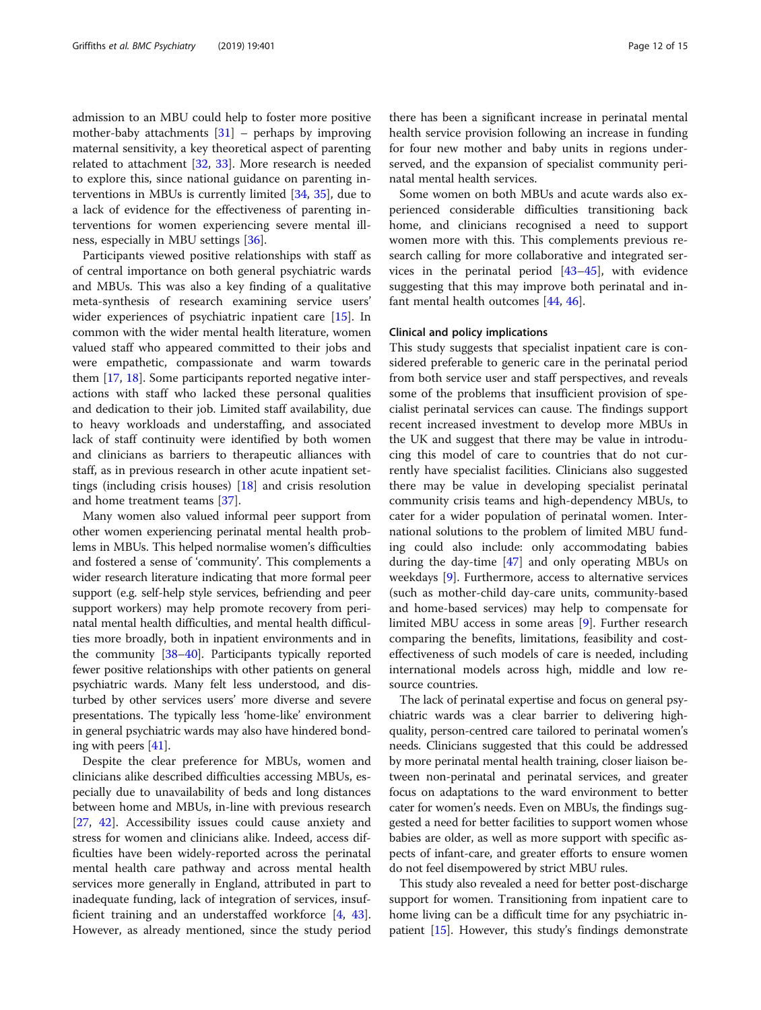admission to an MBU could help to foster more positive mother-baby attachments  $[31]$  $[31]$  – perhaps by improving maternal sensitivity, a key theoretical aspect of parenting related to attachment [\[32,](#page-14-0) [33\]](#page-14-0). More research is needed to explore this, since national guidance on parenting interventions in MBUs is currently limited [[34](#page-14-0), [35\]](#page-14-0), due to a lack of evidence for the effectiveness of parenting interventions for women experiencing severe mental illness, especially in MBU settings [[36\]](#page-14-0).

Participants viewed positive relationships with staff as of central importance on both general psychiatric wards and MBUs. This was also a key finding of a qualitative meta-synthesis of research examining service users' wider experiences of psychiatric inpatient care [\[15](#page-13-0)]. In common with the wider mental health literature, women valued staff who appeared committed to their jobs and were empathetic, compassionate and warm towards them [[17,](#page-13-0) [18\]](#page-13-0). Some participants reported negative interactions with staff who lacked these personal qualities and dedication to their job. Limited staff availability, due to heavy workloads and understaffing, and associated lack of staff continuity were identified by both women and clinicians as barriers to therapeutic alliances with staff, as in previous research in other acute inpatient settings (including crisis houses) [[18](#page-13-0)] and crisis resolution and home treatment teams [[37](#page-14-0)].

Many women also valued informal peer support from other women experiencing perinatal mental health problems in MBUs. This helped normalise women's difficulties and fostered a sense of 'community'. This complements a wider research literature indicating that more formal peer support (e.g. self-help style services, befriending and peer support workers) may help promote recovery from perinatal mental health difficulties, and mental health difficulties more broadly, both in inpatient environments and in the community [\[38](#page-14-0)–[40](#page-14-0)]. Participants typically reported fewer positive relationships with other patients on general psychiatric wards. Many felt less understood, and disturbed by other services users' more diverse and severe presentations. The typically less 'home-like' environment in general psychiatric wards may also have hindered bonding with peers [[41](#page-14-0)].

Despite the clear preference for MBUs, women and clinicians alike described difficulties accessing MBUs, especially due to unavailability of beds and long distances between home and MBUs, in-line with previous research [[27,](#page-14-0) [42](#page-14-0)]. Accessibility issues could cause anxiety and stress for women and clinicians alike. Indeed, access difficulties have been widely-reported across the perinatal mental health care pathway and across mental health services more generally in England, attributed in part to inadequate funding, lack of integration of services, insufficient training and an understaffed workforce [\[4](#page-13-0), [43](#page-14-0)]. However, as already mentioned, since the study period

there has been a significant increase in perinatal mental health service provision following an increase in funding for four new mother and baby units in regions underserved, and the expansion of specialist community perinatal mental health services.

Some women on both MBUs and acute wards also experienced considerable difficulties transitioning back home, and clinicians recognised a need to support women more with this. This complements previous research calling for more collaborative and integrated services in the perinatal period [[43](#page-14-0)–[45](#page-14-0)], with evidence suggesting that this may improve both perinatal and infant mental health outcomes [\[44](#page-14-0), [46\]](#page-14-0).

#### Clinical and policy implications

This study suggests that specialist inpatient care is considered preferable to generic care in the perinatal period from both service user and staff perspectives, and reveals some of the problems that insufficient provision of specialist perinatal services can cause. The findings support recent increased investment to develop more MBUs in the UK and suggest that there may be value in introducing this model of care to countries that do not currently have specialist facilities. Clinicians also suggested there may be value in developing specialist perinatal community crisis teams and high-dependency MBUs, to cater for a wider population of perinatal women. International solutions to the problem of limited MBU funding could also include: only accommodating babies during the day-time [[47](#page-14-0)] and only operating MBUs on weekdays [[9\]](#page-13-0). Furthermore, access to alternative services (such as mother-child day-care units, community-based and home-based services) may help to compensate for limited MBU access in some areas [\[9](#page-13-0)]. Further research comparing the benefits, limitations, feasibility and costeffectiveness of such models of care is needed, including international models across high, middle and low resource countries.

The lack of perinatal expertise and focus on general psychiatric wards was a clear barrier to delivering highquality, person-centred care tailored to perinatal women's needs. Clinicians suggested that this could be addressed by more perinatal mental health training, closer liaison between non-perinatal and perinatal services, and greater focus on adaptations to the ward environment to better cater for women's needs. Even on MBUs, the findings suggested a need for better facilities to support women whose babies are older, as well as more support with specific aspects of infant-care, and greater efforts to ensure women do not feel disempowered by strict MBU rules.

This study also revealed a need for better post-discharge support for women. Transitioning from inpatient care to home living can be a difficult time for any psychiatric inpatient [\[15\]](#page-13-0). However, this study's findings demonstrate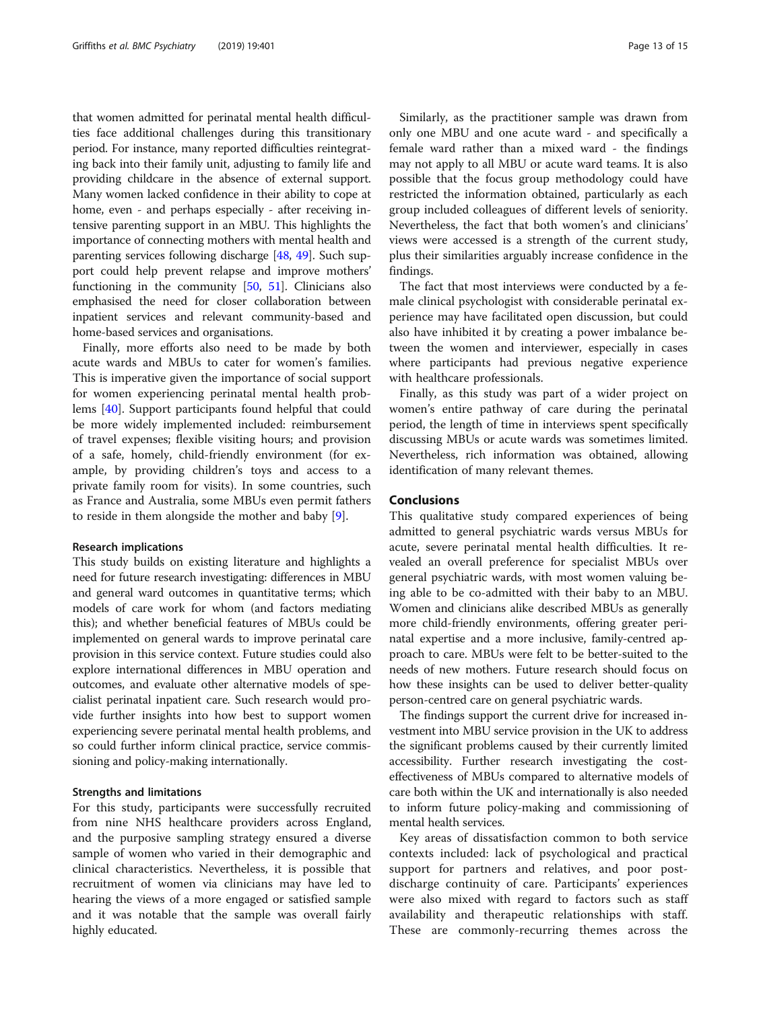that women admitted for perinatal mental health difficulties face additional challenges during this transitionary period. For instance, many reported difficulties reintegrating back into their family unit, adjusting to family life and providing childcare in the absence of external support. Many women lacked confidence in their ability to cope at home, even - and perhaps especially - after receiving intensive parenting support in an MBU. This highlights the importance of connecting mothers with mental health and parenting services following discharge [[48](#page-14-0), [49](#page-14-0)]. Such support could help prevent relapse and improve mothers' functioning in the community [\[50,](#page-14-0) [51\]](#page-14-0). Clinicians also emphasised the need for closer collaboration between inpatient services and relevant community-based and home-based services and organisations.

Finally, more efforts also need to be made by both acute wards and MBUs to cater for women's families. This is imperative given the importance of social support for women experiencing perinatal mental health problems [\[40](#page-14-0)]. Support participants found helpful that could be more widely implemented included: reimbursement of travel expenses; flexible visiting hours; and provision of a safe, homely, child-friendly environment (for example, by providing children's toys and access to a private family room for visits). In some countries, such as France and Australia, some MBUs even permit fathers to reside in them alongside the mother and baby [[9\]](#page-13-0).

#### Research implications

This study builds on existing literature and highlights a need for future research investigating: differences in MBU and general ward outcomes in quantitative terms; which models of care work for whom (and factors mediating this); and whether beneficial features of MBUs could be implemented on general wards to improve perinatal care provision in this service context. Future studies could also explore international differences in MBU operation and outcomes, and evaluate other alternative models of specialist perinatal inpatient care. Such research would provide further insights into how best to support women experiencing severe perinatal mental health problems, and so could further inform clinical practice, service commissioning and policy-making internationally.

#### Strengths and limitations

For this study, participants were successfully recruited from nine NHS healthcare providers across England, and the purposive sampling strategy ensured a diverse sample of women who varied in their demographic and clinical characteristics. Nevertheless, it is possible that recruitment of women via clinicians may have led to hearing the views of a more engaged or satisfied sample and it was notable that the sample was overall fairly highly educated.

Similarly, as the practitioner sample was drawn from only one MBU and one acute ward - and specifically a female ward rather than a mixed ward - the findings may not apply to all MBU or acute ward teams. It is also possible that the focus group methodology could have restricted the information obtained, particularly as each group included colleagues of different levels of seniority. Nevertheless, the fact that both women's and clinicians' views were accessed is a strength of the current study, plus their similarities arguably increase confidence in the findings.

The fact that most interviews were conducted by a female clinical psychologist with considerable perinatal experience may have facilitated open discussion, but could also have inhibited it by creating a power imbalance between the women and interviewer, especially in cases where participants had previous negative experience with healthcare professionals.

Finally, as this study was part of a wider project on women's entire pathway of care during the perinatal period, the length of time in interviews spent specifically discussing MBUs or acute wards was sometimes limited. Nevertheless, rich information was obtained, allowing identification of many relevant themes.

#### Conclusions

This qualitative study compared experiences of being admitted to general psychiatric wards versus MBUs for acute, severe perinatal mental health difficulties. It revealed an overall preference for specialist MBUs over general psychiatric wards, with most women valuing being able to be co-admitted with their baby to an MBU. Women and clinicians alike described MBUs as generally more child-friendly environments, offering greater perinatal expertise and a more inclusive, family-centred approach to care. MBUs were felt to be better-suited to the needs of new mothers. Future research should focus on how these insights can be used to deliver better-quality person-centred care on general psychiatric wards.

The findings support the current drive for increased investment into MBU service provision in the UK to address the significant problems caused by their currently limited accessibility. Further research investigating the costeffectiveness of MBUs compared to alternative models of care both within the UK and internationally is also needed to inform future policy-making and commissioning of mental health services.

Key areas of dissatisfaction common to both service contexts included: lack of psychological and practical support for partners and relatives, and poor postdischarge continuity of care. Participants' experiences were also mixed with regard to factors such as staff availability and therapeutic relationships with staff. These are commonly-recurring themes across the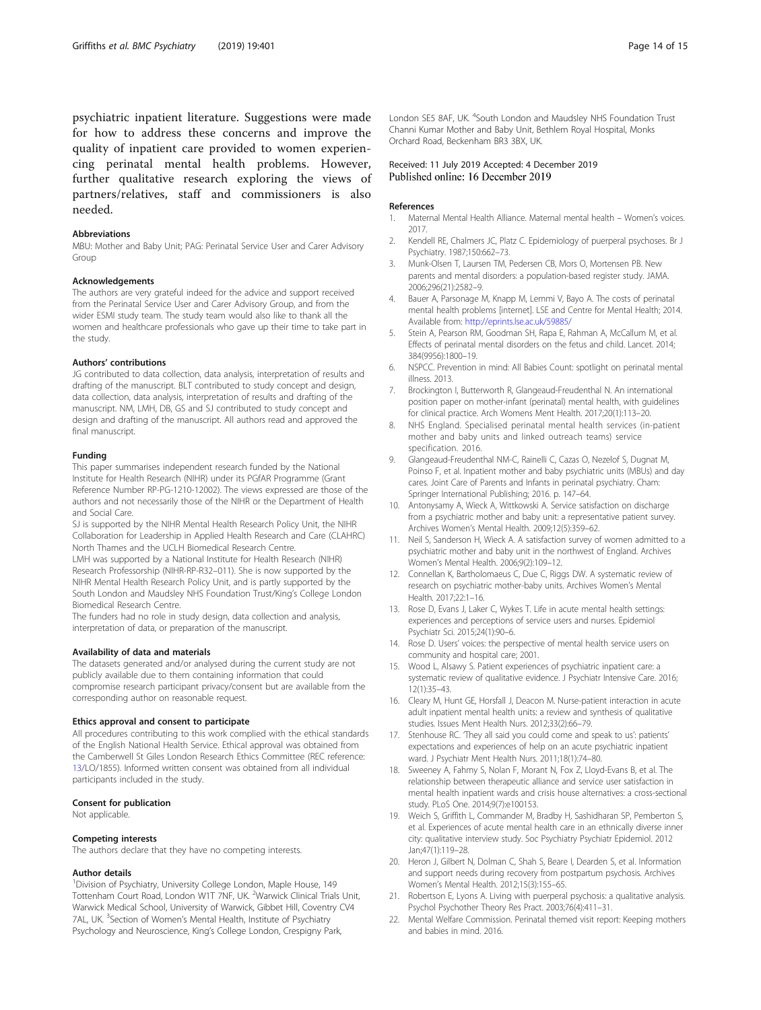<span id="page-13-0"></span>psychiatric inpatient literature. Suggestions were made for how to address these concerns and improve the quality of inpatient care provided to women experiencing perinatal mental health problems. However, further qualitative research exploring the views of partners/relatives, staff and commissioners is also needed.

#### Abbreviations

MBU: Mother and Baby Unit; PAG: Perinatal Service User and Carer Advisory Group

#### Acknowledgements

The authors are very grateful indeed for the advice and support received from the Perinatal Service User and Carer Advisory Group, and from the wider ESMI study team. The study team would also like to thank all the women and healthcare professionals who gave up their time to take part in the study.

#### Authors' contributions

JG contributed to data collection, data analysis, interpretation of results and drafting of the manuscript. BLT contributed to study concept and design, data collection, data analysis, interpretation of results and drafting of the manuscript. NM, LMH, DB, GS and SJ contributed to study concept and design and drafting of the manuscript. All authors read and approved the final manuscript.

#### Funding

This paper summarises independent research funded by the National Institute for Health Research (NIHR) under its PGfAR Programme (Grant Reference Number RP-PG-1210-12002). The views expressed are those of the authors and not necessarily those of the NIHR or the Department of Health and Social Care.

SJ is supported by the NIHR Mental Health Research Policy Unit, the NIHR Collaboration for Leadership in Applied Health Research and Care (CLAHRC) North Thames and the UCLH Biomedical Research Centre.

LMH was supported by a National Institute for Health Research (NIHR) Research Professorship (NIHR-RP-R32–011). She is now supported by the NIHR Mental Health Research Policy Unit, and is partly supported by the South London and Maudsley NHS Foundation Trust/King's College London Biomedical Research Centre.

The funders had no role in study design, data collection and analysis, interpretation of data, or preparation of the manuscript.

#### Availability of data and materials

The datasets generated and/or analysed during the current study are not publicly available due to them containing information that could compromise research participant privacy/consent but are available from the corresponding author on reasonable request.

#### Ethics approval and consent to participate

All procedures contributing to this work complied with the ethical standards of the English National Health Service. Ethical approval was obtained from the Camberwell St Giles London Research Ethics Committee (REC reference: 13/LO/1855). Informed written consent was obtained from all individual participants included in the study.

#### Consent for publication

Not applicable.

#### Competing interests

The authors declare that they have no competing interests.

#### Author details

<sup>1</sup> Division of Psychiatry, University College London, Maple House, 149 Tottenham Court Road, London W1T 7NF, UK. <sup>2</sup>Warwick Clinical Trials Unit, Warwick Medical School, University of Warwick, Gibbet Hill, Coventry CV4 7AL, UK. <sup>3</sup>Section of Women's Mental Health, Institute of Psychiatry Psychology and Neuroscience, King's College London, Crespigny Park,

London SE5 8AF, UK. <sup>4</sup>South London and Maudsley NHS Foundation Trust Channi Kumar Mother and Baby Unit, Bethlem Royal Hospital, Monks Orchard Road, Beckenham BR3 3BX, UK.

# Received: 11 July 2019 Accepted: 4 December 2019

#### References

- 1. Maternal Mental Health Alliance. Maternal mental health Women's voices. 2017.
- 2. Kendell RE, Chalmers JC, Platz C. Epidemiology of puerperal psychoses. Br J Psychiatry. 1987;150:662–73.
- 3. Munk-Olsen T, Laursen TM, Pedersen CB, Mors O, Mortensen PB. New parents and mental disorders: a population-based register study. JAMA. 2006;296(21):2582–9.
- 4. Bauer A, Parsonage M, Knapp M, Lemmi V, Bayo A. The costs of perinatal mental health problems [internet]. LSE and Centre for Mental Health; 2014. Available from: <http://eprints.lse.ac.uk/59885/>
- 5. Stein A, Pearson RM, Goodman SH, Rapa E, Rahman A, McCallum M, et al. Effects of perinatal mental disorders on the fetus and child. Lancet. 2014; 384(9956):1800–19.
- 6. NSPCC. Prevention in mind: All Babies Count: spotlight on perinatal mental illness. 2013.
- 7. Brockington I, Butterworth R, Glangeaud-Freudenthal N. An international position paper on mother-infant (perinatal) mental health, with guidelines for clinical practice. Arch Womens Ment Health. 2017;20(1):113–20.
- 8. NHS England. Specialised perinatal mental health services (in-patient mother and baby units and linked outreach teams) service specification. 2016.
- 9. Glangeaud-Freudenthal NM-C, Rainelli C, Cazas O, Nezelof S, Dugnat M, Poinso F, et al. Inpatient mother and baby psychiatric units (MBUs) and day cares. Joint Care of Parents and Infants in perinatal psychiatry. Cham: Springer International Publishing; 2016. p. 147–64.
- 10. Antonysamy A, Wieck A, Wittkowski A. Service satisfaction on discharge from a psychiatric mother and baby unit: a representative patient survey. Archives Women's Mental Health. 2009;12(5):359–62.
- 11. Neil S, Sanderson H, Wieck A. A satisfaction survey of women admitted to a psychiatric mother and baby unit in the northwest of England. Archives Women's Mental Health. 2006;9(2):109–12.
- 12. Connellan K, Bartholomaeus C, Due C, Riggs DW. A systematic review of research on psychiatric mother-baby units. Archives Women's Mental Health. 2017;22:1–16.
- 13. Rose D, Evans J, Laker C, Wykes T. Life in acute mental health settings: experiences and perceptions of service users and nurses. Epidemiol Psychiatr Sci. 2015;24(1):90–6.
- 14. Rose D. Users' voices: the perspective of mental health service users on community and hospital care; 2001.
- 15. Wood L, Alsawy S. Patient experiences of psychiatric inpatient care: a systematic review of qualitative evidence. J Psychiatr Intensive Care. 2016; 12(1):35–43.
- 16. Cleary M, Hunt GE, Horsfall J, Deacon M. Nurse-patient interaction in acute adult inpatient mental health units: a review and synthesis of qualitative studies. Issues Ment Health Nurs. 2012;33(2):66–79.
- 17. Stenhouse RC. 'They all said you could come and speak to us': patients' expectations and experiences of help on an acute psychiatric inpatient ward. J Psychiatr Ment Health Nurs. 2011;18(1):74–80.
- 18. Sweeney A, Fahmy S, Nolan F, Morant N, Fox Z, Lloyd-Evans B, et al. The relationship between therapeutic alliance and service user satisfaction in mental health inpatient wards and crisis house alternatives: a cross-sectional study. PLoS One. 2014;9(7):e100153.
- 19. Weich S, Griffith L, Commander M, Bradby H, Sashidharan SP, Pemberton S, et al. Experiences of acute mental health care in an ethnically diverse inner city: qualitative interview study. Soc Psychiatry Psychiatr Epidemiol. 2012 Jan;47(1):119–28.
- 20. Heron J, Gilbert N, Dolman C, Shah S, Beare I, Dearden S, et al. Information and support needs during recovery from postpartum psychosis. Archives Women's Mental Health. 2012;15(3):155–65.
- 21. Robertson E, Lyons A. Living with puerperal psychosis: a qualitative analysis. Psychol Psychother Theory Res Pract. 2003;76(4):411–31.
- 22. Mental Welfare Commission. Perinatal themed visit report: Keeping mothers and babies in mind. 2016.